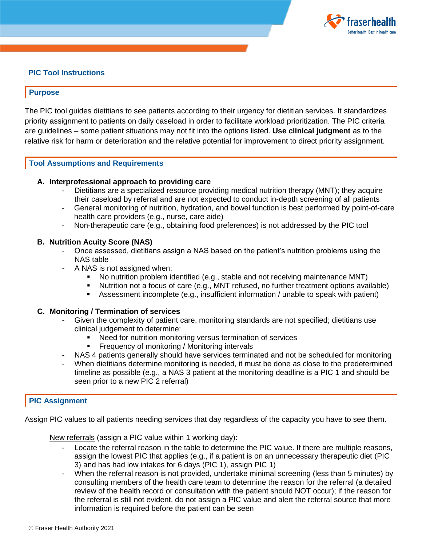

# **PIC Tool Instructions**

## **Purpose**

The PIC tool guides dietitians to see patients according to their urgency for dietitian services. It standardizes priority assignment to patients on daily caseload in order to facilitate workload prioritization. The PIC criteria are guidelines – some patient situations may not fit into the options listed. **Use clinical judgment** as to the relative risk for harm or deterioration and the relative potential for improvement to direct priority assignment.

# **Tool Assumptions and Requirements**

## **A. Interprofessional approach to providing care**

- Dietitians are a specialized resource providing medical nutrition therapy (MNT); they acquire their caseload by referral and are not expected to conduct in-depth screening of all patients
- General monitoring of nutrition, hydration, and bowel function is best performed by point-of-care health care providers (e.g., nurse, care aide)
- Non-therapeutic care (e.g., obtaining food preferences) is not addressed by the PIC tool

#### **B. Nutrition Acuity Score (NAS)**

- Once assessed, dietitians assign a NAS based on the patient's nutrition problems using the NAS table
- A NAS is not assigned when:
	- No nutrition problem identified (e.g., stable and not receiving maintenance MNT)
	- Nutrition not a focus of care (e.g., MNT refused, no further treatment options available)
	- Assessment incomplete (e.g., insufficient information / unable to speak with patient)

#### **C. Monitoring / Termination of services**

- Given the complexity of patient care, monitoring standards are not specified; dietitians use clinical judgement to determine:
	- Need for nutrition monitoring versus termination of services
	- **Figure 1.5 Frequency of monitoring / Monitoring intervals**
- NAS 4 patients generally should have services terminated and not be scheduled for monitoring
- When dietitians determine monitoring is needed, it must be done as close to the predetermined timeline as possible (e.g., a NAS 3 patient at the monitoring deadline is a PIC 1 and should be seen prior to a new PIC 2 referral)

## **PIC Assignment**

Assign PIC values to all patients needing services that day regardless of the capacity you have to see them.

New referrals (assign a PIC value within 1 working day):

- Locate the referral reason in the table to determine the PIC value. If there are multiple reasons, assign the lowest PIC that applies (e.g., if a patient is on an unnecessary therapeutic diet (PIC 3) and has had low intakes for 6 days (PIC 1), assign PIC 1)
- When the referral reason is not provided, undertake minimal screening (less than 5 minutes) by consulting members of the health care team to determine the reason for the referral (a detailed review of the health record or consultation with the patient should NOT occur); if the reason for the referral is still not evident, do not assign a PIC value and alert the referral source that more information is required before the patient can be seen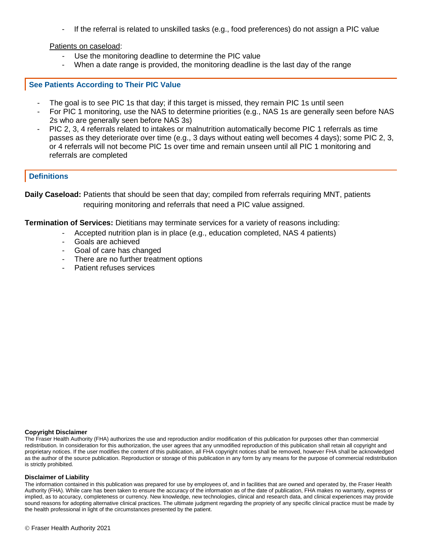- If the referral is related to unskilled tasks (e.g., food preferences) do not assign a PIC value

Patients on caseload:

- Use the monitoring deadline to determine the PIC value
- When a date range is provided, the monitoring deadline is the last day of the range

#### **See Patients According to Their PIC Value**

- The goal is to see PIC 1s that day; if this target is missed, they remain PIC 1s until seen
- For PIC 1 monitoring, use the NAS to determine priorities (e.g., NAS 1s are generally seen before NAS 2s who are generally seen before NAS 3s)
- PIC 2, 3, 4 referrals related to intakes or malnutrition automatically become PIC 1 referrals as time passes as they deteriorate over time (e.g., 3 days without eating well becomes 4 days); some PIC 2, 3, or 4 referrals will not become PIC 1s over time and remain unseen until all PIC 1 monitoring and referrals are completed

# **Definitions**

**Daily Caseload:** Patients that should be seen that day; compiled from referrals requiring MNT, patients requiring monitoring and referrals that need a PIC value assigned.

**Termination of Services:** Dietitians may terminate services for a variety of reasons including:

- Accepted nutrition plan is in place (e.g., education completed, NAS 4 patients)
- Goals are achieved
- Goal of care has changed
- There are no further treatment options
- Patient refuses services

#### **Copyright Disclaimer**

The Fraser Health Authority (FHA) authorizes the use and reproduction and/or modification of this publication for purposes other than commercial redistribution. In consideration for this authorization, the user agrees that any unmodified reproduction of this publication shall retain all copyright and proprietary notices. If the user modifies the content of this publication, all FHA copyright notices shall be removed, however FHA shall be acknowledged as the author of the source publication. Reproduction or storage of this publication in any form by any means for the purpose of commercial redistribution is strictly prohibited.

#### **Disclaimer of Liability**

The information contained in this publication was prepared for use by employees of, and in facilities that are owned and operated by, the Fraser Health Authority (FHA). While care has been taken to ensure the accuracy of the information as of the date of publication, FHA makes no warranty, express or implied, as to accuracy, completeness or currency. New knowledge, new technologies, clinical and research data, and clinical experiences may provide sound reasons for adopting alternative clinical practices. The ultimate judgment regarding the propriety of any specific clinical practice must be made by the health professional in light of the circumstances presented by the patient.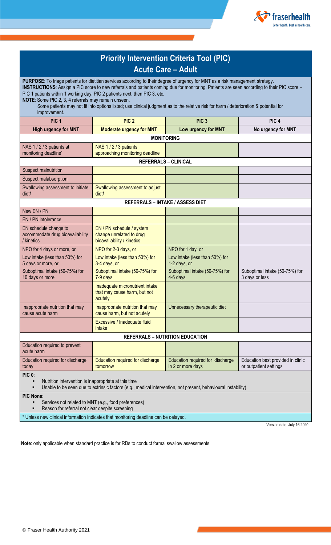

| <b>Priority Intervention Criteria Tool (PIC)</b>                                                                                                                                                                                                                                                                                                                                                                                                                                                                                                                           |                                                                                     |                                                       |                                                             |
|----------------------------------------------------------------------------------------------------------------------------------------------------------------------------------------------------------------------------------------------------------------------------------------------------------------------------------------------------------------------------------------------------------------------------------------------------------------------------------------------------------------------------------------------------------------------------|-------------------------------------------------------------------------------------|-------------------------------------------------------|-------------------------------------------------------------|
|                                                                                                                                                                                                                                                                                                                                                                                                                                                                                                                                                                            | <b>Acute Care – Adult</b>                                                           |                                                       |                                                             |
| PURPOSE: To triage patients for dietitian services according to their degree of urgency for MNT as a risk management strategy.<br>INSTRUCTIONS: Assign a PIC score to new referrals and patients coming due for monitoring. Patients are seen according to their PIC score -<br>PIC 1 patients within 1 working day; PIC 2 patients next, then PIC 3, etc.<br>NOTE: Some PIC 2, 3, 4 referrals may remain unseen.<br>Some patients may not fit into options listed; use clinical judgment as to the relative risk for harm / deterioration & potential for<br>improvement. |                                                                                     |                                                       |                                                             |
| PIC <sub>1</sub>                                                                                                                                                                                                                                                                                                                                                                                                                                                                                                                                                           | PIC <sub>2</sub>                                                                    | PIC <sub>3</sub>                                      | PIC <sub>4</sub>                                            |
| <b>High urgency for MNT</b>                                                                                                                                                                                                                                                                                                                                                                                                                                                                                                                                                | <b>Moderate urgency for MNT</b>                                                     | Low urgency for MNT                                   | No urgency for MNT                                          |
|                                                                                                                                                                                                                                                                                                                                                                                                                                                                                                                                                                            | <b>MONITORING</b>                                                                   |                                                       |                                                             |
| NAS 1/2/3 patients at<br>monitoring deadline*                                                                                                                                                                                                                                                                                                                                                                                                                                                                                                                              | NAS 1/2/3 patients<br>approaching monitoring deadline                               |                                                       |                                                             |
|                                                                                                                                                                                                                                                                                                                                                                                                                                                                                                                                                                            | <b>REFERRALS - CLINICAL</b>                                                         |                                                       |                                                             |
| Suspect malnutrition                                                                                                                                                                                                                                                                                                                                                                                                                                                                                                                                                       |                                                                                     |                                                       |                                                             |
| Suspect malabsorption                                                                                                                                                                                                                                                                                                                                                                                                                                                                                                                                                      |                                                                                     |                                                       |                                                             |
| Swallowing assessment to initiate<br>diet <sup>t</sup>                                                                                                                                                                                                                                                                                                                                                                                                                                                                                                                     | Swallowing assessment to adjust<br>diet <sup>t</sup>                                |                                                       |                                                             |
|                                                                                                                                                                                                                                                                                                                                                                                                                                                                                                                                                                            | <b>REFERRALS - INTAKE / ASSESS DIET</b>                                             |                                                       |                                                             |
| New EN / PN                                                                                                                                                                                                                                                                                                                                                                                                                                                                                                                                                                |                                                                                     |                                                       |                                                             |
| EN / PN intolerance                                                                                                                                                                                                                                                                                                                                                                                                                                                                                                                                                        |                                                                                     |                                                       |                                                             |
| EN schedule change to<br>accommodate drug bioavailability<br>/ kinetics                                                                                                                                                                                                                                                                                                                                                                                                                                                                                                    | EN / PN schedule / system<br>change unrelated to drug<br>bioavailability / kinetics |                                                       |                                                             |
| NPO for 4 days or more, or                                                                                                                                                                                                                                                                                                                                                                                                                                                                                                                                                 | NPO for 2-3 days, or                                                                | NPO for 1 day, or                                     |                                                             |
| Low intake (less than 50%) for<br>5 days or more, or                                                                                                                                                                                                                                                                                                                                                                                                                                                                                                                       | Low intake (less than 50%) for<br>3-4 days, or                                      | Low intake (less than 50%) for<br>1-2 days, or        |                                                             |
| Suboptimal intake (50-75%) for<br>10 days or more                                                                                                                                                                                                                                                                                                                                                                                                                                                                                                                          | Suboptimal intake (50-75%) for<br>7-9 days                                          | Suboptimal intake (50-75%) for<br>4-6 days            | Suboptimal intake (50-75%) for<br>3 days or less            |
|                                                                                                                                                                                                                                                                                                                                                                                                                                                                                                                                                                            | Inadequate micronutrient intake<br>that may cause harm, but not<br>acutely          |                                                       |                                                             |
| Inappropriate nutrition that may<br>cause acute harm                                                                                                                                                                                                                                                                                                                                                                                                                                                                                                                       | Inappropriate nutrition that may<br>cause harm, but not acutely                     | Unnecessary therapeutic diet                          |                                                             |
|                                                                                                                                                                                                                                                                                                                                                                                                                                                                                                                                                                            | Excessive / Inadequate fluid<br>intake                                              |                                                       |                                                             |
| <b>REFERRALS - NUTRITION EDUCATION</b>                                                                                                                                                                                                                                                                                                                                                                                                                                                                                                                                     |                                                                                     |                                                       |                                                             |
| Education required to prevent<br>acute harm                                                                                                                                                                                                                                                                                                                                                                                                                                                                                                                                |                                                                                     |                                                       |                                                             |
| Education required for discharge<br>today                                                                                                                                                                                                                                                                                                                                                                                                                                                                                                                                  | Education required for discharge<br>tomorrow                                        | Education required for discharge<br>in 2 or more days | Education best provided in clinic<br>or outpatient settings |
| <b>PIC 0:</b><br>Nutrition intervention is inappropriate at this time<br>٠<br>Unable to be seen due to extrinsic factors (e.g., medical intervention, not present, behavioural instability)<br>٠                                                                                                                                                                                                                                                                                                                                                                           |                                                                                     |                                                       |                                                             |
| <b>PIC None:</b><br>Services not related to MNT (e.g., food preferences)<br>٠<br>Reason for referral not clear despite screening                                                                                                                                                                                                                                                                                                                                                                                                                                           |                                                                                     |                                                       |                                                             |
| * Unless new clinical information indicates that monitoring deadline can be delayed.                                                                                                                                                                                                                                                                                                                                                                                                                                                                                       |                                                                                     |                                                       |                                                             |
|                                                                                                                                                                                                                                                                                                                                                                                                                                                                                                                                                                            |                                                                                     |                                                       |                                                             |

Version date: July 16 2020

†**Note**: only applicable when standard practice is for RDs to conduct formal swallow assessments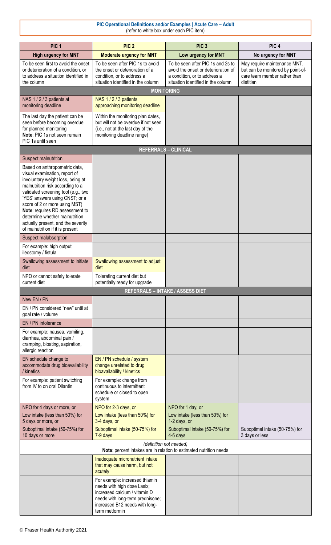#### **PIC Operational Definitions and/or Examples | Acute Care – Adult** (refer to white box under each PIC item)

| PIC <sub>1</sub>                                                                                                                                                                                                                                                                                                                                                                                 | PIC <sub>2</sub>                                                                                                                                                                       | PIC <sub>3</sub>                                                                                                                               | PIC <sub>4</sub>                                                                                               |
|--------------------------------------------------------------------------------------------------------------------------------------------------------------------------------------------------------------------------------------------------------------------------------------------------------------------------------------------------------------------------------------------------|----------------------------------------------------------------------------------------------------------------------------------------------------------------------------------------|------------------------------------------------------------------------------------------------------------------------------------------------|----------------------------------------------------------------------------------------------------------------|
| <b>High urgency for MNT</b>                                                                                                                                                                                                                                                                                                                                                                      | <b>Moderate urgency for MNT</b>                                                                                                                                                        | Low urgency for MNT                                                                                                                            | No urgency for MNT                                                                                             |
| To be seen first to avoid the onset<br>or deterioration of a condition, or<br>to address a situation identified in<br>the column                                                                                                                                                                                                                                                                 | To be seen after PIC 1s to avoid<br>the onset or deterioration of a<br>condition, or to address a<br>situation identified in the column                                                | To be seen after PIC 1s and 2s to<br>avoid the onset or deterioration of<br>a condition, or to address a<br>situation identified in the column | May require maintenance MNT,<br>but can be monitored by point-of-<br>care team member rather than<br>dietitian |
|                                                                                                                                                                                                                                                                                                                                                                                                  |                                                                                                                                                                                        | <b>MONITORING</b>                                                                                                                              |                                                                                                                |
| NAS 1/2/3 patients at<br>monitoring deadline                                                                                                                                                                                                                                                                                                                                                     | NAS 1/2/3 patients<br>approaching monitoring deadline                                                                                                                                  |                                                                                                                                                |                                                                                                                |
| The last day the patient can be<br>seen before becoming overdue<br>for planned monitoring<br>Note: PIC 1s not seen remain<br>PIC 1s until seen                                                                                                                                                                                                                                                   | Within the monitoring plan dates,<br>but will not be overdue if not seen<br>(i.e., not at the last day of the<br>monitoring deadline range)                                            |                                                                                                                                                |                                                                                                                |
|                                                                                                                                                                                                                                                                                                                                                                                                  |                                                                                                                                                                                        | <b>REFERRALS - CLINICAL</b>                                                                                                                    |                                                                                                                |
| Suspect malnutrition                                                                                                                                                                                                                                                                                                                                                                             |                                                                                                                                                                                        |                                                                                                                                                |                                                                                                                |
| Based on anthropometric data,<br>visual examination, report of<br>involuntary weight loss, being at<br>malnutrition risk according to a<br>validated screening tool (e.g., two<br>'YES' answers using CNST; or a<br>score of 2 or more using MST)<br>Note: requires RD assessment to<br>determine whether malnutrition<br>actually present, and the severity<br>of malnutrition if it is present |                                                                                                                                                                                        |                                                                                                                                                |                                                                                                                |
| Suspect malabsorption                                                                                                                                                                                                                                                                                                                                                                            |                                                                                                                                                                                        |                                                                                                                                                |                                                                                                                |
| For example: high output<br>ileostomy / fistula                                                                                                                                                                                                                                                                                                                                                  |                                                                                                                                                                                        |                                                                                                                                                |                                                                                                                |
| Swallowing assessment to initiate<br>diet                                                                                                                                                                                                                                                                                                                                                        | Swallowing assessment to adjust<br>diet                                                                                                                                                |                                                                                                                                                |                                                                                                                |
| NPO or cannot safely tolerate<br>current diet                                                                                                                                                                                                                                                                                                                                                    | Tolerating current diet but<br>potentially ready for upgrade                                                                                                                           |                                                                                                                                                |                                                                                                                |
|                                                                                                                                                                                                                                                                                                                                                                                                  |                                                                                                                                                                                        | <b>REFERRALS - INTAKE / ASSESS DIET</b>                                                                                                        |                                                                                                                |
| New EN / PN                                                                                                                                                                                                                                                                                                                                                                                      |                                                                                                                                                                                        |                                                                                                                                                |                                                                                                                |
| EN / PN considered "new" until at<br>goal rate / volume                                                                                                                                                                                                                                                                                                                                          |                                                                                                                                                                                        |                                                                                                                                                |                                                                                                                |
| EN / PN intolerance                                                                                                                                                                                                                                                                                                                                                                              |                                                                                                                                                                                        |                                                                                                                                                |                                                                                                                |
| For example: nausea, vomiting,<br>diarrhea, abdominal pain /<br>cramping, bloating, aspiration,<br>allergic reaction                                                                                                                                                                                                                                                                             |                                                                                                                                                                                        |                                                                                                                                                |                                                                                                                |
| EN schedule change to<br>accommodate drug bioavailability<br>/ kinetics                                                                                                                                                                                                                                                                                                                          | EN / PN schedule / system<br>change unrelated to drug<br>bioavailability / kinetics                                                                                                    |                                                                                                                                                |                                                                                                                |
| For example: patient switching<br>from IV to on oral Dilantin                                                                                                                                                                                                                                                                                                                                    | For example: change from<br>continuous to intermittent<br>schedule or closed to open<br>system                                                                                         |                                                                                                                                                |                                                                                                                |
| NPO for 4 days or more, or                                                                                                                                                                                                                                                                                                                                                                       | NPO for 2-3 days, or                                                                                                                                                                   | NPO for 1 day, or                                                                                                                              |                                                                                                                |
| Low intake (less than 50%) for<br>5 days or more, or                                                                                                                                                                                                                                                                                                                                             | Low intake (less than 50%) for<br>3-4 days, or                                                                                                                                         | Low intake (less than 50%) for<br>1-2 days, or                                                                                                 |                                                                                                                |
| Suboptimal intake (50-75%) for<br>10 days or more                                                                                                                                                                                                                                                                                                                                                | Suboptimal intake (50-75%) for<br>7-9 days                                                                                                                                             | Suboptimal intake (50-75%) for<br>4-6 days                                                                                                     | Suboptimal intake (50-75%) for<br>3 days or less                                                               |
| (definition not needed)<br>Note: percent intakes are in relation to estimated nutrition needs                                                                                                                                                                                                                                                                                                    |                                                                                                                                                                                        |                                                                                                                                                |                                                                                                                |
|                                                                                                                                                                                                                                                                                                                                                                                                  | Inadequate micronutrient intake<br>that may cause harm, but not<br>acutely                                                                                                             |                                                                                                                                                |                                                                                                                |
|                                                                                                                                                                                                                                                                                                                                                                                                  | For example: increased thiamin<br>needs with high dose Lasix;<br>increased calcium / vitamin D<br>needs with long-term prednisone;<br>increased B12 needs with long-<br>term metformin |                                                                                                                                                |                                                                                                                |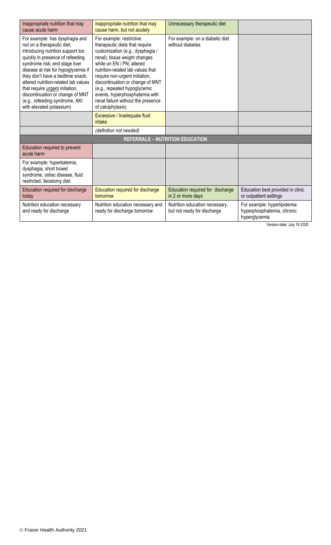| Inappropriate nutrition that may<br>cause acute harm                                                                                                                                                                                                                                                                                                                                                                            | Inappropriate nutrition that may<br>cause harm, but not acutely                                                                                                                                                                                                                                                                                                                                      | Unnecessary therapeutic diet                                  |                                                                            |
|---------------------------------------------------------------------------------------------------------------------------------------------------------------------------------------------------------------------------------------------------------------------------------------------------------------------------------------------------------------------------------------------------------------------------------|------------------------------------------------------------------------------------------------------------------------------------------------------------------------------------------------------------------------------------------------------------------------------------------------------------------------------------------------------------------------------------------------------|---------------------------------------------------------------|----------------------------------------------------------------------------|
| For example: has dysphagia and<br>not on a therapeutic diet;<br>introducing nutrition support too<br>quickly in presence of refeeding<br>syndrome risk; end stage liver<br>disease at risk for hypoglycemia if<br>they don't have a bedtime snack;<br>altered nutrition-related lab values<br>that require urgent initiation,<br>discontinuation or change of MNT<br>(e.g., refeeding syndrome, AKI<br>with elevated potassium) | For example: restrictive<br>therapeutic diets that require<br>customization (e.g., dysphagia /<br>renal); tissue weight changes<br>while on EN / PN; altered<br>nutrition-related lab values that<br>require non-urgent initiation,<br>discontinuation or change of MNT<br>(e.g., repeated hypoglycemic<br>events, hyperphosphatemia with<br>renal failure without the presence<br>of calciphylaxis) | For example: on a diabetic diet<br>without diabetes           |                                                                            |
|                                                                                                                                                                                                                                                                                                                                                                                                                                 | Excessive / Inadequate fluid<br>intake                                                                                                                                                                                                                                                                                                                                                               |                                                               |                                                                            |
|                                                                                                                                                                                                                                                                                                                                                                                                                                 | (definition not needed)                                                                                                                                                                                                                                                                                                                                                                              |                                                               |                                                                            |
|                                                                                                                                                                                                                                                                                                                                                                                                                                 |                                                                                                                                                                                                                                                                                                                                                                                                      | <b>REFERRALS - NUTRITION EDUCATION</b>                        |                                                                            |
| Education required to prevent<br>acute harm                                                                                                                                                                                                                                                                                                                                                                                     |                                                                                                                                                                                                                                                                                                                                                                                                      |                                                               |                                                                            |
| For example: hyperkalemia,<br>dysphagia, short bowel<br>syndrome, celiac disease, fluid<br>restricted, ileostomy diet                                                                                                                                                                                                                                                                                                           |                                                                                                                                                                                                                                                                                                                                                                                                      |                                                               |                                                                            |
| Education required for discharge<br>today                                                                                                                                                                                                                                                                                                                                                                                       | Education required for discharge<br>tomorrow                                                                                                                                                                                                                                                                                                                                                         | Education required for discharge<br>in 2 or more days         | Education best provided in clinic<br>or outpatient settings                |
| Nutrition education necessary<br>and ready for discharge                                                                                                                                                                                                                                                                                                                                                                        | Nutrition education necessary and<br>ready for discharge tomorrow                                                                                                                                                                                                                                                                                                                                    | Nutrition education necessary,<br>but not ready for discharge | For example: hyperlipidemia<br>hyperphosphatemia, chronic<br>hyperglycemia |

Version date: July 16 2020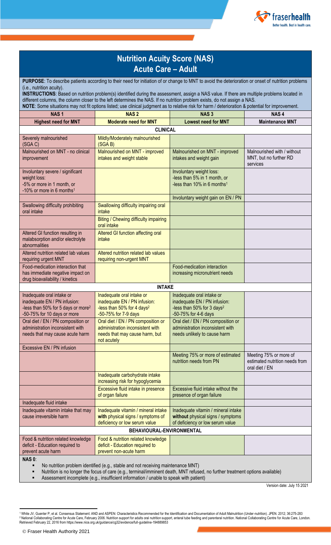

# **Nutrition Acuity Score (NAS) Acute Care – Adult**

**PURPOSE**: To describe patients according to their need for initiation of or change to MNT to avoid the deterioration or onset of nutrition problems (i.e., nutrition acuity).

**INSTRUCTIONS**: Based on nutrition problem(s) identified during the assessment, assign a NAS value. If there are multiple problems located in different columns, the column closer to the left determines the NAS. If no nutrition problem exists, do not assign a NAS. **NOTE**: Some situations may not fit options listed; use clinical judgment as to relative risk for harm / deterioration & potential for improvement.

| <b>NAS1</b>                                                                                                                                | <b>NAS2</b>                                                                                                                 | <b>NAS3</b>                                                                                                                 | NAS <sub>4</sub>                                                           |
|--------------------------------------------------------------------------------------------------------------------------------------------|-----------------------------------------------------------------------------------------------------------------------------|-----------------------------------------------------------------------------------------------------------------------------|----------------------------------------------------------------------------|
| <b>Highest need for MNT</b>                                                                                                                | <b>Moderate need for MNT</b>                                                                                                | <b>Lowest need for MNT</b>                                                                                                  | <b>Maintenance MNT</b>                                                     |
|                                                                                                                                            | <b>CLINICAL</b>                                                                                                             |                                                                                                                             |                                                                            |
| Severely malnourished<br>(SGA C)                                                                                                           | Mildly/Moderately malnourished<br>(SGA B)                                                                                   |                                                                                                                             |                                                                            |
| Malnourished on MNT - no clinical<br>improvement                                                                                           | Malnourished on MNT - improved<br>intakes and weight stable                                                                 | Malnourished on MNT - improved<br>intakes and weight gain                                                                   | Malnourished with / without<br>MNT, but no further RD<br>services          |
| Involuntary severe / significant<br>weight loss:<br>-5% or more in 1 month, or<br>-10% or more in 6 months <sup>1</sup>                    |                                                                                                                             | Involuntary weight loss:<br>-less than 5% in 1 month, or<br>-less than 10% in 6 months <sup>1</sup>                         |                                                                            |
|                                                                                                                                            |                                                                                                                             | Involuntary weight gain on EN / PN                                                                                          |                                                                            |
| Swallowing difficulty prohibiting<br>oral intake                                                                                           | Swallowing difficulty impairing oral<br>intake                                                                              |                                                                                                                             |                                                                            |
|                                                                                                                                            | Biting / Chewing difficulty impairing<br>oral intake                                                                        |                                                                                                                             |                                                                            |
| Altered GI function resulting in<br>malabsorption and/or electrolyte<br>abnormalities                                                      | Altered GI function affecting oral<br>intake                                                                                |                                                                                                                             |                                                                            |
| Altered nutrition related lab values<br>requiring urgent MNT                                                                               | Altered nutrition related lab values<br>requiring non-urgent MNT                                                            |                                                                                                                             |                                                                            |
| Food-medication interaction that<br>has immediate negative impact on<br>drug bioavailability / kinetics                                    |                                                                                                                             | Food-medication interaction<br>increasing micronutrient needs                                                               |                                                                            |
|                                                                                                                                            | <b>INTAKE</b>                                                                                                               |                                                                                                                             |                                                                            |
| Inadequate oral intake or<br>inadequate EN / PN infusion:<br>-less than 50% for 5 days or more <sup>2</sup><br>-50-75% for 10 days or more | Inadequate oral intake or<br>inadequate EN / PN infusion:<br>-less than 50% for 4 days <sup>2</sup><br>-50-75% for 7-9 days | Inadequate oral intake or<br>inadequate EN / PN infusion:<br>-less than 50% for 3 days <sup>2</sup><br>-50-75% for 4-6 days |                                                                            |
| Oral diet / EN / PN composition or<br>administration inconsistent with<br>needs that may cause acute harm                                  | Oral diet / EN / PN composition or<br>administration inconsistent with<br>needs that may cause harm, but<br>not acutely     | Oral diet / EN / PN composition or<br>administration inconsistent with<br>needs unlikely to cause harm                      |                                                                            |
| Excessive EN / PN infusion                                                                                                                 |                                                                                                                             |                                                                                                                             |                                                                            |
|                                                                                                                                            |                                                                                                                             | Meeting 75% or more of estimated<br>nutrition needs from PN                                                                 | Meeting 75% or more of<br>estimated nutrition needs from<br>oral diet / EN |
|                                                                                                                                            | Inadequate carbohydrate intake<br>increasing risk for hypoglycemia                                                          |                                                                                                                             |                                                                            |
|                                                                                                                                            | Excessive fluid intake in presence<br>of organ failure                                                                      | Excessive fluid intake without the<br>presence of organ failure                                                             |                                                                            |
| Inadequate fluid intake                                                                                                                    |                                                                                                                             |                                                                                                                             |                                                                            |
| Inadequate vitamin intake that may<br>cause irreversible harm                                                                              | Inadequate vitamin / mineral intake<br>with physical signs / symptoms of<br>deficiency or low serum value                   | Inadequate vitamin / mineral intake<br>without physical signs / symptoms<br>of deficiency or low serum value                |                                                                            |
| BEHAVIOURAL-ENVIRONMENTAL                                                                                                                  |                                                                                                                             |                                                                                                                             |                                                                            |
| Food & nutrition related knowledge<br>deficit - Education required to<br>prevent acute harm                                                | Food & nutrition related knowledge<br>deficit - Education required to<br>prevent non-acute harm                             |                                                                                                                             |                                                                            |
| <b>NAS 0:</b>                                                                                                                              |                                                                                                                             |                                                                                                                             |                                                                            |

No nutrition problem identified (e.g., stable and not receiving maintenance MNT)

Nutrition is no longer the focus of care (e.g., terminal/imminent death, MNT refused, no further treatment options available)

Assessment incomplete (e.g., insufficient information / unable to speak with patient)

Version date: July 15 2021

 $\overline{\phantom{a}}$ 

<sup>1</sup> White JV, Guenter P, et al. Consensus Statement: AND and ASPEN: Characteristics Recommended for the Identification and Documentation of Adult Malnutrition (Under-nutrition). JPEN. 2012; 36:275-283 <sup>2</sup> National Collaborating Centre for Acute Care, February 2006. Nutrition support for adults oral nutrition support, enteral tube feeding and parenteral nutrition. National Collaborating Centre for Acute Care, London. Retrieved February 22, 2016 from https://www.nice.org.uk/guidance/cg32/evidence/full-guideline-194889853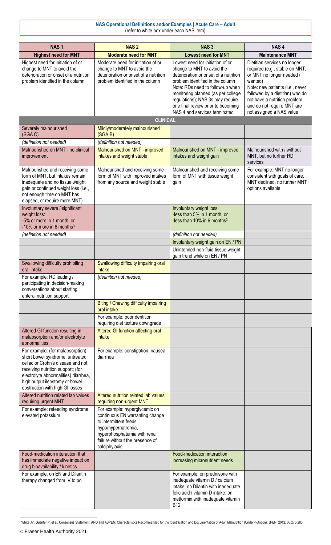## **NAS Operational Definitions and/or Examples | Acute Care – Adult** (refer to white box under each NAS item)

| <b>NAS1</b>                                                                                                                                                                                                                                                | <b>NAS2</b>                                                                                                                                                                                           | NAS <sub>3</sub>                                                                                                                                                                                                                                                                                                                 | NAS <sub>4</sub>                                                                                                                                                                                                                                                       |
|------------------------------------------------------------------------------------------------------------------------------------------------------------------------------------------------------------------------------------------------------------|-------------------------------------------------------------------------------------------------------------------------------------------------------------------------------------------------------|----------------------------------------------------------------------------------------------------------------------------------------------------------------------------------------------------------------------------------------------------------------------------------------------------------------------------------|------------------------------------------------------------------------------------------------------------------------------------------------------------------------------------------------------------------------------------------------------------------------|
| <b>Highest need for MNT</b>                                                                                                                                                                                                                                | <b>Moderate need for MNT</b>                                                                                                                                                                          | <b>Lowest need for MNT</b>                                                                                                                                                                                                                                                                                                       | <b>Maintenance MNT</b>                                                                                                                                                                                                                                                 |
| Highest need for initiation of or<br>change to MNT to avoid the<br>deterioration or onset of a nutrition<br>problem identified in the column                                                                                                               | Moderate need for initiation of or<br>change to MNT to avoid the<br>deterioration or onset of a nutrition<br>problem identified in the column                                                         | Lowest need for initiation of or<br>change to MNT to avoid the<br>deterioration or onset of a nutrition<br>problem identified in the column<br>Note: RDs need to follow-up when<br>monitoring planned (as per college<br>regulations); NAS 3s may require<br>one final review prior to becoming<br>NAS 4 and services terminated | Dietitian services no longer<br>required (e.g., stable on MNT,<br>or MNT no longer needed /<br>wanted)<br>Note: new patients (i.e., never<br>followed by a dietitian) who do<br>not have a nutrition problem<br>and do not require MNT are<br>not assigned a NAS value |
|                                                                                                                                                                                                                                                            | <b>CLINICAL</b>                                                                                                                                                                                       |                                                                                                                                                                                                                                                                                                                                  |                                                                                                                                                                                                                                                                        |
| Severely malnourished<br>(SGA C)                                                                                                                                                                                                                           | Mildly/moderately malnourished<br>(SGA B)                                                                                                                                                             |                                                                                                                                                                                                                                                                                                                                  |                                                                                                                                                                                                                                                                        |
| (definition not needed)                                                                                                                                                                                                                                    | (definition not needed)                                                                                                                                                                               |                                                                                                                                                                                                                                                                                                                                  |                                                                                                                                                                                                                                                                        |
| Malnourished on MNT - no clinical<br>improvement                                                                                                                                                                                                           | Malnourished on MNT - improved<br>intakes and weight stable                                                                                                                                           | Malnourished on MNT - improved<br>intakes and weight gain                                                                                                                                                                                                                                                                        | Malnourished with / without<br>MNT, but no further RD<br>services                                                                                                                                                                                                      |
| Malnourished and receiving some<br>form of MNT, but intakes remain<br>inadequate and no tissue weight<br>gain or continued weight loss (i.e.,<br>not enough time on MNT has<br>elapsed, or require more MNT)                                               | Malnourished and receiving some<br>form of MNT with improved intakes<br>from any source and weight stable                                                                                             | Malnourished and receiving some<br>form of MNT with tissue weight<br>gain                                                                                                                                                                                                                                                        | For example: MNT no longer<br>consistent with goals of care,<br>MNT declined, no further MNT<br>options available                                                                                                                                                      |
| Involuntary severe / significant<br>weight loss:<br>-5% or more in 1 month, or<br>-10% or more in 6 months <sup>3</sup>                                                                                                                                    |                                                                                                                                                                                                       | Involuntary weight loss:<br>-less than 5% in 1 month, or<br>-less than 10% in 6 months <sup>3</sup>                                                                                                                                                                                                                              |                                                                                                                                                                                                                                                                        |
| (definition not needed)                                                                                                                                                                                                                                    |                                                                                                                                                                                                       | (definition not needed)                                                                                                                                                                                                                                                                                                          |                                                                                                                                                                                                                                                                        |
|                                                                                                                                                                                                                                                            |                                                                                                                                                                                                       | Involuntary weight gain on EN / PN<br>Unintended non-fluid tissue weight                                                                                                                                                                                                                                                         |                                                                                                                                                                                                                                                                        |
|                                                                                                                                                                                                                                                            |                                                                                                                                                                                                       | gain trend while on EN / PN                                                                                                                                                                                                                                                                                                      |                                                                                                                                                                                                                                                                        |
| Swallowing difficulty prohibiting<br>oral intake                                                                                                                                                                                                           | Swallowing difficulty impairing oral<br>intake                                                                                                                                                        |                                                                                                                                                                                                                                                                                                                                  |                                                                                                                                                                                                                                                                        |
| For example: RD leading /<br>participating in decision-making<br>conversations about starting<br>enteral nutrition support                                                                                                                                 | (definition not needed)                                                                                                                                                                               |                                                                                                                                                                                                                                                                                                                                  |                                                                                                                                                                                                                                                                        |
|                                                                                                                                                                                                                                                            | Biting / Chewing difficulty impairing<br>oral intake                                                                                                                                                  |                                                                                                                                                                                                                                                                                                                                  |                                                                                                                                                                                                                                                                        |
|                                                                                                                                                                                                                                                            | For example: poor dentition<br>requiring diet texture downgrade                                                                                                                                       |                                                                                                                                                                                                                                                                                                                                  |                                                                                                                                                                                                                                                                        |
| Altered GI function resulting in<br>malabsorption and/or electrolyte<br>abnormalities                                                                                                                                                                      | Altered GI function affecting oral<br>intake                                                                                                                                                          |                                                                                                                                                                                                                                                                                                                                  |                                                                                                                                                                                                                                                                        |
| For example: (for malabsorption)<br>short bowel syndrome, untreated<br>celiac or Crohn's disease and not<br>receiving nutrition support; (for<br>electrolyte abnormalities) diarrhea,<br>high output ileostomy or bowel<br>obstruction with high GI losses | For example: constipation, nausea,<br>diarrhea                                                                                                                                                        |                                                                                                                                                                                                                                                                                                                                  |                                                                                                                                                                                                                                                                        |
| Altered nutrition related lab values<br>requiring urgent MNT                                                                                                                                                                                               | Altered nutrition related lab values<br>requiring non-urgent MNT                                                                                                                                      |                                                                                                                                                                                                                                                                                                                                  |                                                                                                                                                                                                                                                                        |
| For example: refeeding syndrome;<br>elevated potassium                                                                                                                                                                                                     | For example: hyperglycemic on<br>continuous EN warranting change<br>to intermittent feeds,<br>hypo/hypernatremia,<br>hyperphosphatemia with renal<br>failure without the presence of<br>calciphylaxis |                                                                                                                                                                                                                                                                                                                                  |                                                                                                                                                                                                                                                                        |
| Food-medication interaction that<br>has immediate negative impact on<br>drug bioavailability / kinetics                                                                                                                                                    |                                                                                                                                                                                                       | Food-medication interaction<br>increasing micronutrient needs                                                                                                                                                                                                                                                                    |                                                                                                                                                                                                                                                                        |
| For example, on EN and Dilantin<br>therapy changed from IV to po                                                                                                                                                                                           |                                                                                                                                                                                                       | For example: on prednisone with<br>inadequate vitamin D / calcium<br>intake; on Dilantin with inadequate<br>folic acid / vitamin D intake; on<br>metformin with inadequate vitamin<br><b>B12</b>                                                                                                                                 |                                                                                                                                                                                                                                                                        |